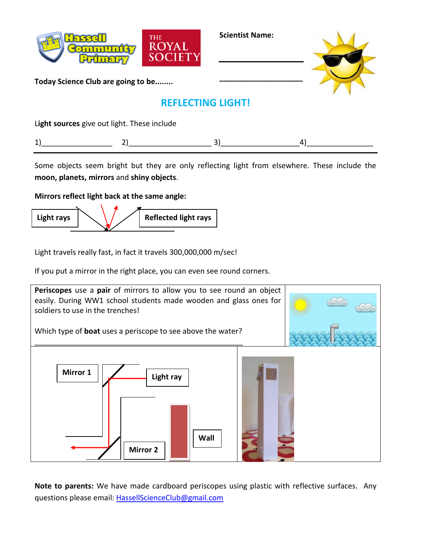

**Scientist Name:**

**\_\_\_\_\_\_\_\_\_\_\_\_\_\_\_\_\_\_\_\_**



**Today Science Club are going to be........**

## **REFLECTING LIGHT!**

L**ight sources** give out light. These include

|--|--|--|--|--|

Some objects seem bright but they are only reflecting light from elsewhere. These include the **moon, planets, mirrors** and **shiny objects**.

## **Mirrors reflect light back at the same angle:**



Light travels really fast, in fact it travels 300,000,000 m/sec!

If you put a mirror in the right place, you can even see round corners.



**Note to parents:** We have made cardboard periscopes using plastic with reflective surfaces. Any questions please email: [HassellScienceClub@gmail.com](mailto:HassellScienceClub@gmail.com)